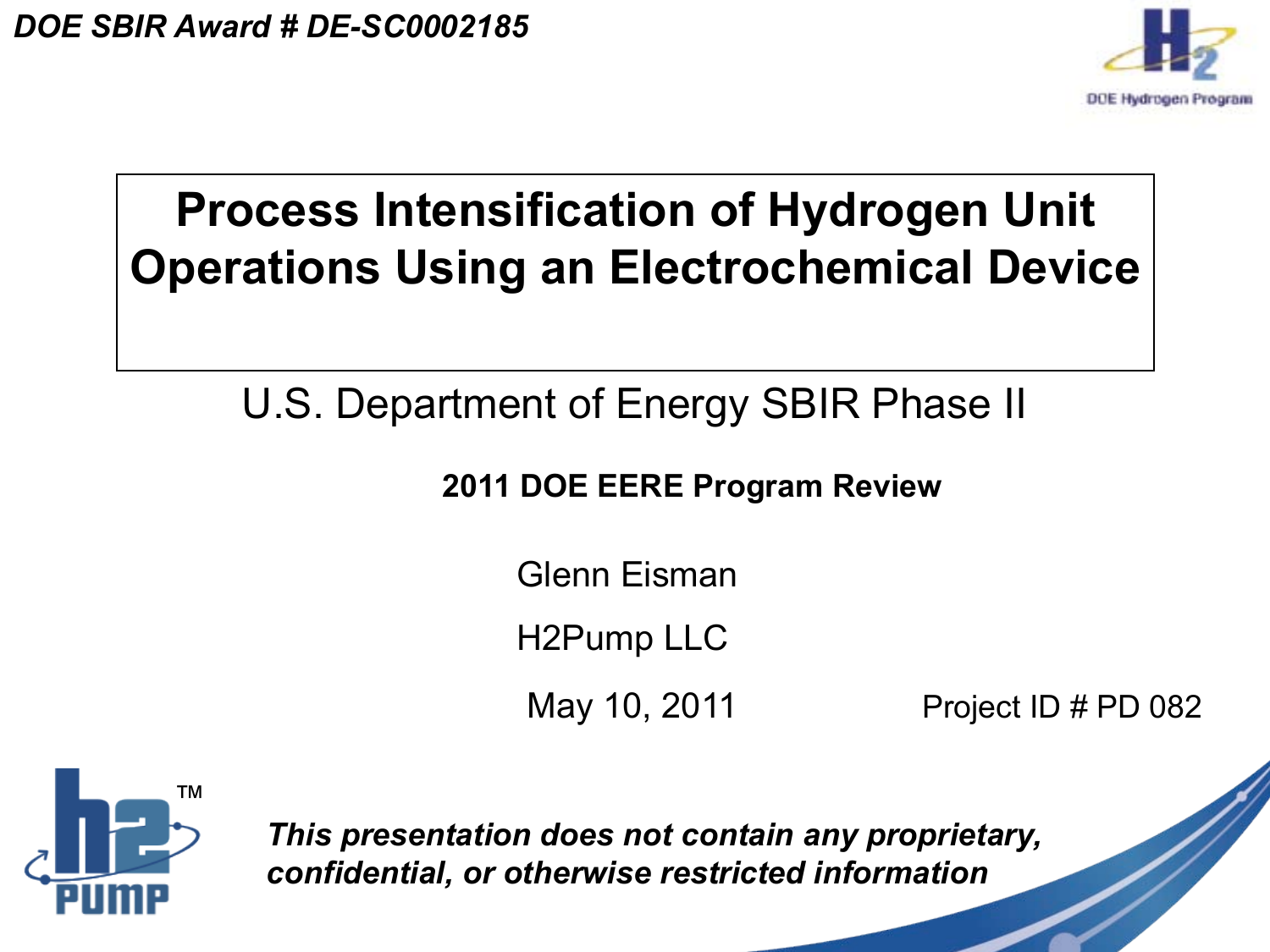

## **Process Intensification of Hydrogen Unit Operations Using an Electrochemical Device**

## U.S. Department of Energy SBIR Phase II

### **2011 DOE EERE Program Review**

Glenn Eisman

H2Pump LLC

May 10, 2011 **Project ID # PD 082** 



*This presentation does not contain any proprietary, confidential, or otherwise restricted information*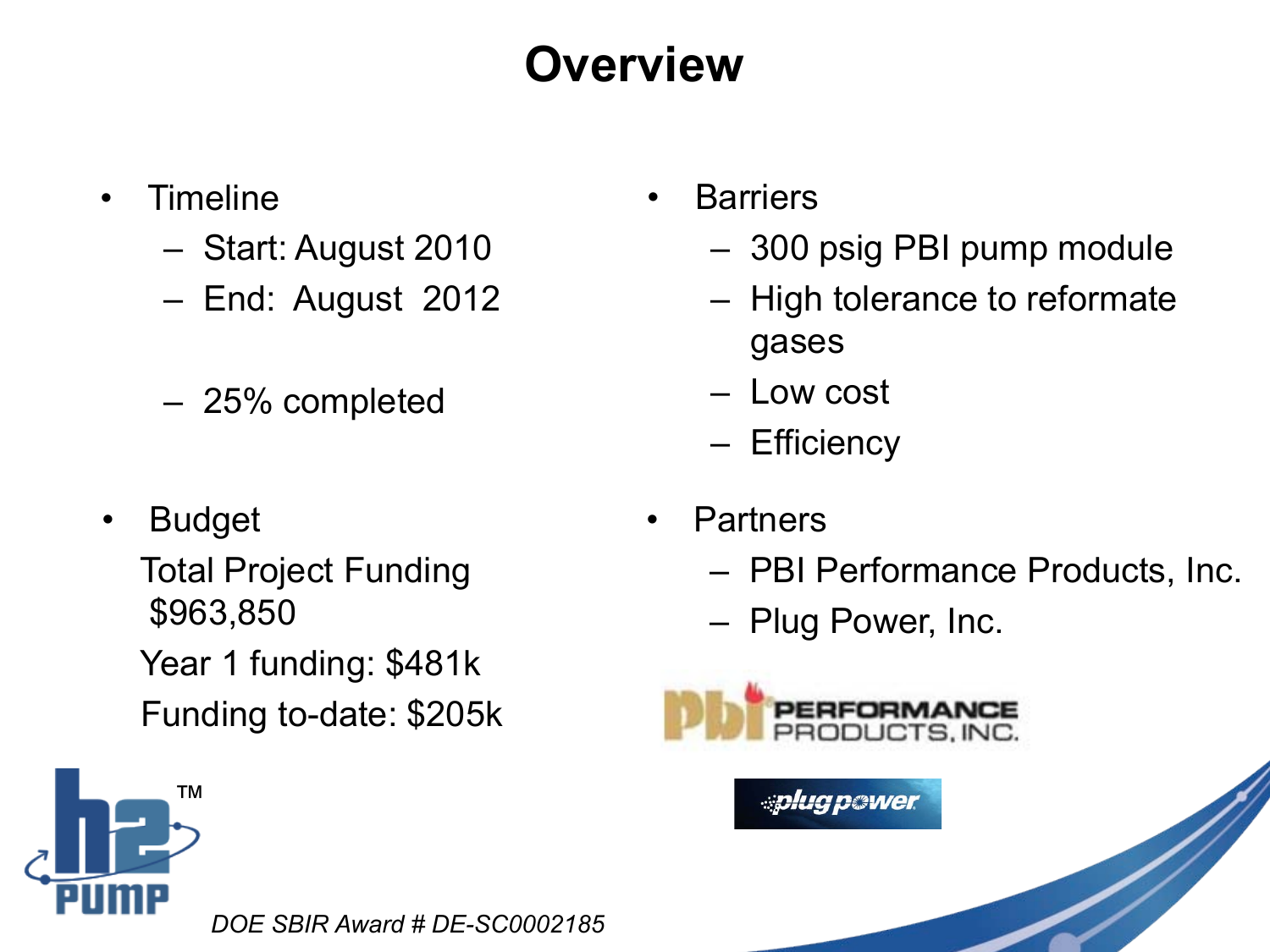## **Overview**

- Timeline
	- Start: August 2010
	- End: August 2012
	- 25% completed
- **Budget**

Total Project Funding \$963,850 Year 1 funding: \$481k Funding to-date: \$205k



*DOE SBIR Award # DE-SC0002185*

- Barriers
	- 300 psig PBI pump module
	- High tolerance to reformate gases
	- Low cost
	- Efficiency
- Partners
	- PBI Performance Products, Inc.
	- Plug Power, Inc.



**ablua pawer**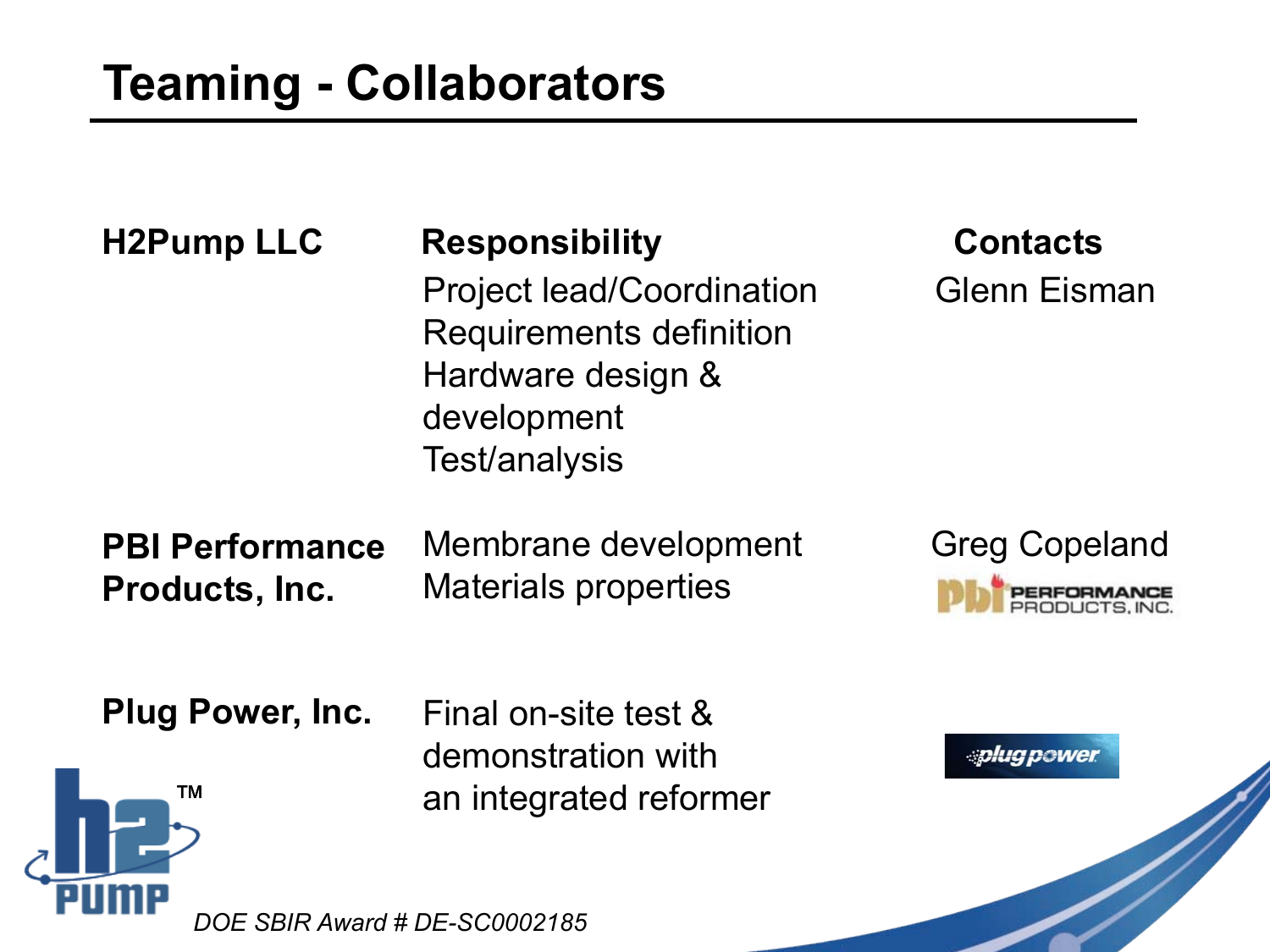| <b>H2Pump LLC</b>                        | <b>Responsibility</b><br><b>Project lead/Coordination</b><br><b>Requirements definition</b><br>Hardware design &<br>development<br>Test/analysis | <b>Contacts</b><br><b>Glenn Eisman</b> |
|------------------------------------------|--------------------------------------------------------------------------------------------------------------------------------------------------|----------------------------------------|
| <b>PBI Performance</b><br>Products, Inc. | Membrane development<br><b>Materials properties</b>                                                                                              | <b>Greg Copeland</b>                   |
| <b>Plug Power, Inc.</b><br>ТM            | Final on-site test &<br>demonstration with<br>an integrated reformer                                                                             | <i>splug power</i>                     |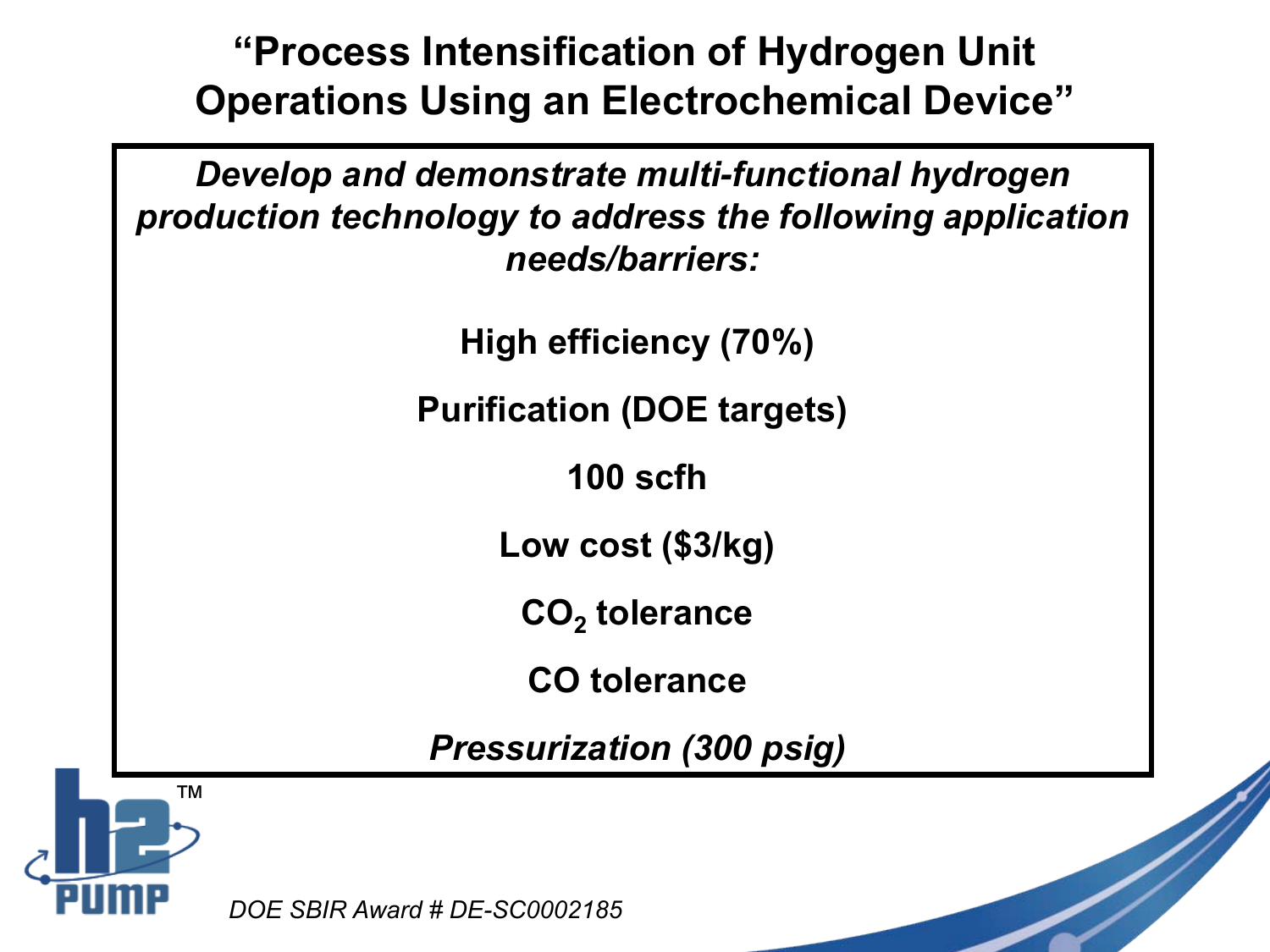**"Process Intensification of Hydrogen Unit Operations Using an Electrochemical Device"**

*Develop and demonstrate multi-functional hydrogen production technology to address the following application needs/barriers:*

**High efficiency (70%)**

**Purification (DOE targets)**

**100 scfh**

**Low cost (\$3/kg)**

CO<sub>2</sub> tolerance

**CO tolerance**

*Pressurization (300 psig)*

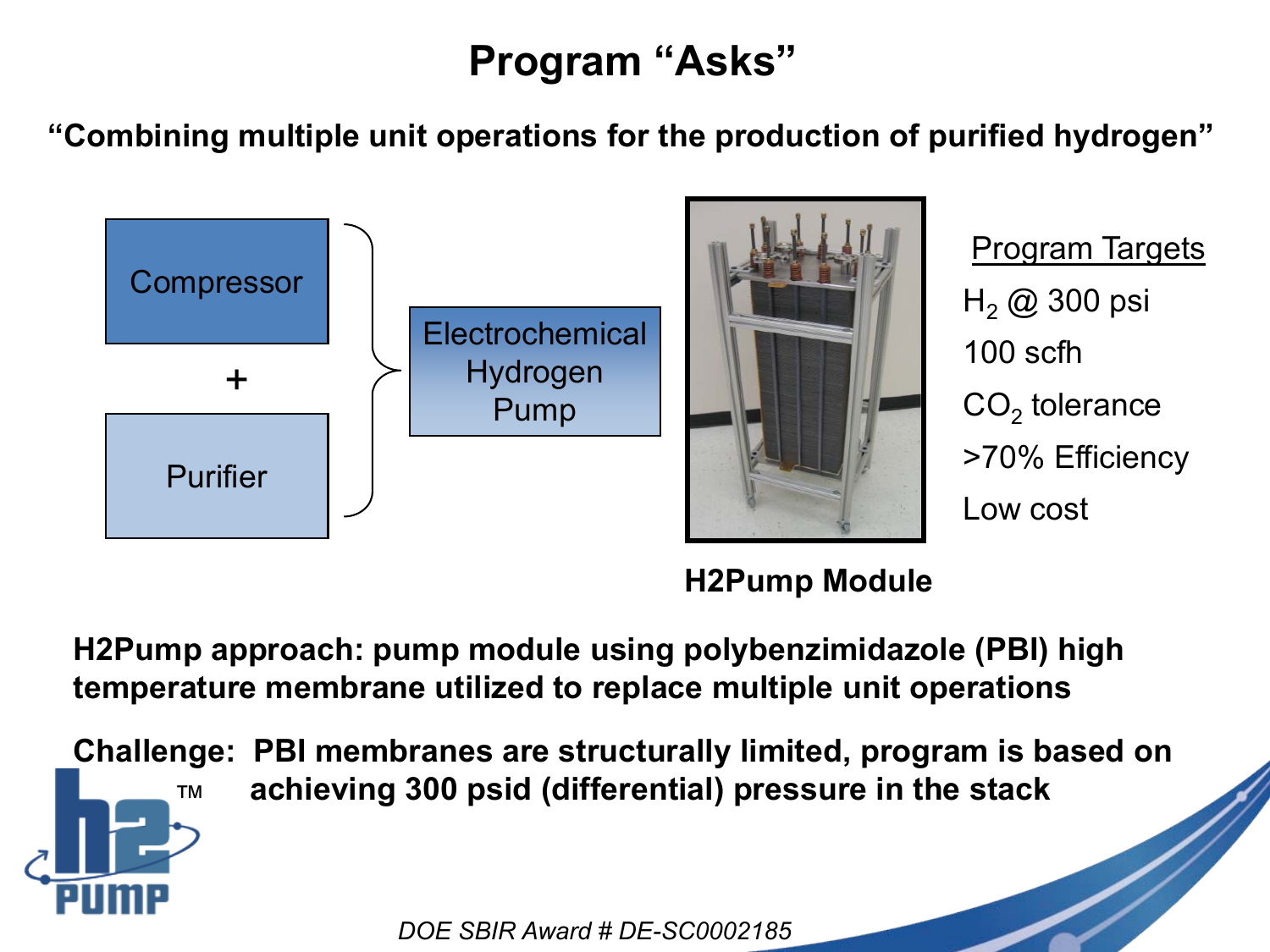## **Program "Asks"**

**"Combining multiple unit operations for the production of purified hydrogen"**





Program Targets  $H<sub>2</sub>$  @ 300 psi 100 scfh  $CO<sub>2</sub>$  tolerance >70% Efficiency Low cost

### **H2Pump Module**

**H2Pump approach: pump module using polybenzimidazole (PBI) high temperature membrane utilized to replace multiple unit operations**

™ **Challenge: PBI membranes are structurally limited, program is based on achieving 300 psid (differential) pressure in the stack**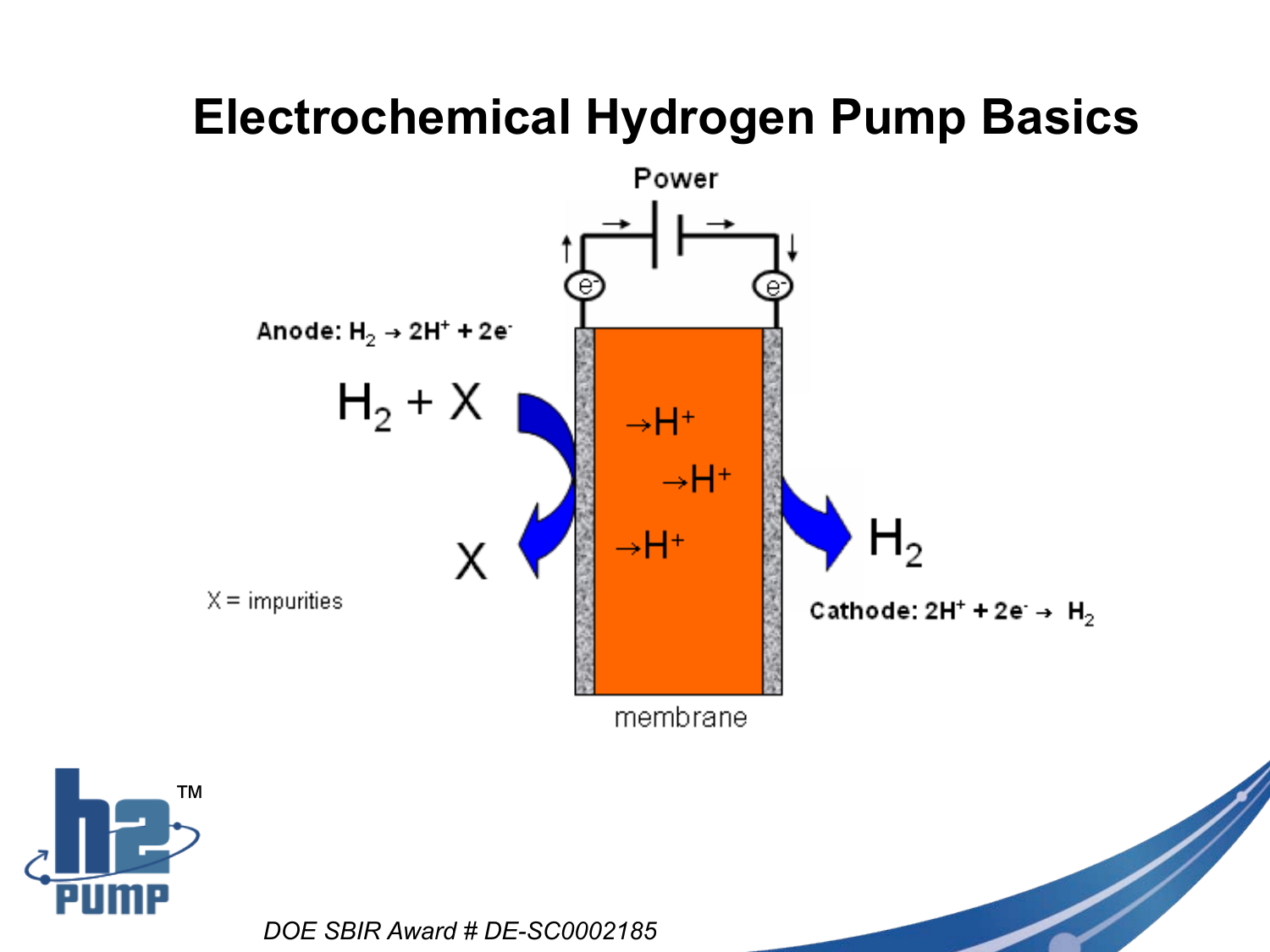## **Electrochemical Hydrogen Pump Basics**

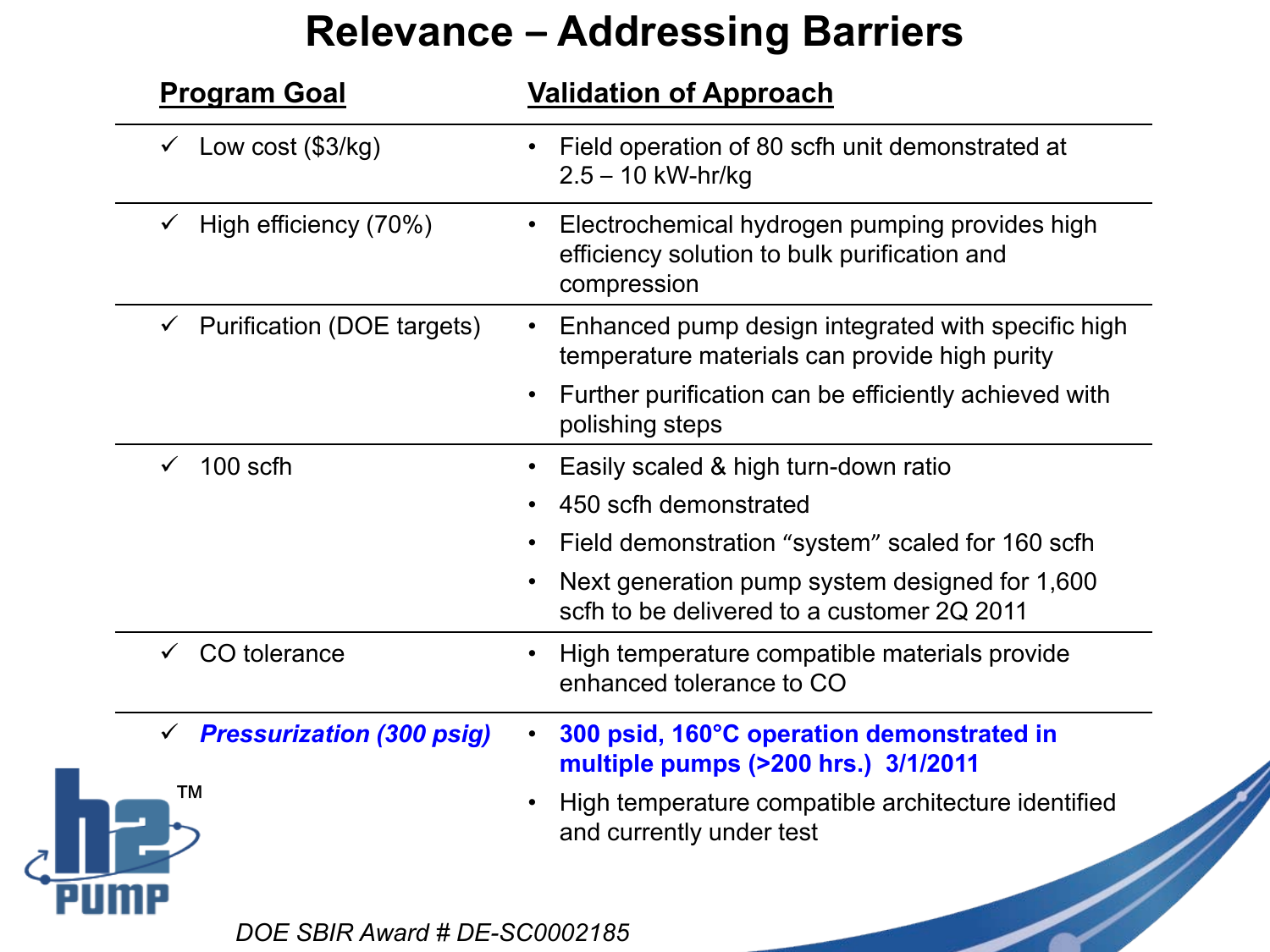### **Relevance – Addressing Barriers**

|  | <b>Program Goal</b>                     | <b>Validation of Approach</b>                                                                                                                                             |
|--|-----------------------------------------|---------------------------------------------------------------------------------------------------------------------------------------------------------------------------|
|  | $\checkmark$ Low cost (\$3/kg)          | Field operation of 80 scfh unit demonstrated at<br>$2.5 - 10$ kW-hr/kg                                                                                                    |
|  | High efficiency (70%)                   | Electrochemical hydrogen pumping provides high<br>efficiency solution to bulk purification and<br>compression                                                             |
|  | $\checkmark$ Purification (DOE targets) | Enhanced pump design integrated with specific high<br>$\bullet$<br>temperature materials can provide high purity<br>Further purification can be efficiently achieved with |
|  |                                         | polishing steps                                                                                                                                                           |
|  | 100 scfh                                | Easily scaled & high turn-down ratio                                                                                                                                      |
|  |                                         | 450 scfh demonstrated                                                                                                                                                     |
|  |                                         | Field demonstration "system" scaled for 160 scfh                                                                                                                          |
|  |                                         | Next generation pump system designed for 1,600<br>scfh to be delivered to a customer 2Q 2011                                                                              |
|  | CO tolerance                            | High temperature compatible materials provide<br>enhanced tolerance to CO                                                                                                 |
|  | <b>Pressurization (300 psig)</b>        | 300 psid, 160°C operation demonstrated in<br>multiple pumps (>200 hrs.) 3/1/2011                                                                                          |
|  | ТM                                      | High temperature compatible architecture identified<br>and currently under test                                                                                           |
|  |                                         |                                                                                                                                                                           |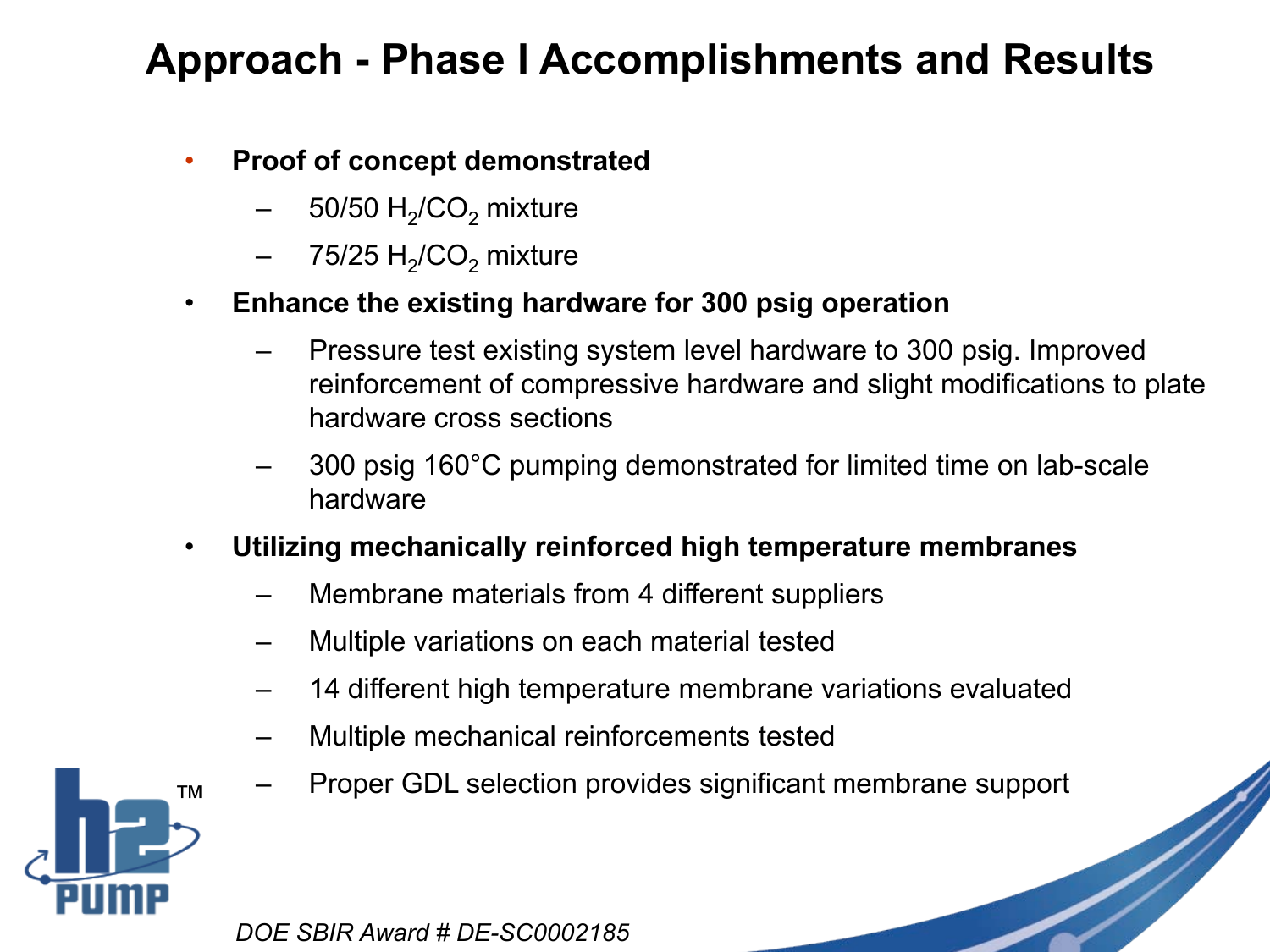### **Approach - Phase I Accomplishments and Results**

#### • **Proof of concept demonstrated**

- 50/50  $H<sub>2</sub>/CO<sub>2</sub>$  mixture
- 75/25  $H<sub>2</sub>/CO<sub>2</sub>$  mixture

#### • **Enhance the existing hardware for 300 psig operation**

- Pressure test existing system level hardware to 300 psig. Improved reinforcement of compressive hardware and slight modifications to plate hardware cross sections
- 300 psig 160°C pumping demonstrated for limited time on lab-scale hardware
- **Utilizing mechanically reinforced high temperature membranes** 
	- Membrane materials from 4 different suppliers
	- Multiple variations on each material tested
	- 14 different high temperature membrane variations evaluated
	- Multiple mechanical reinforcements tested
	- Proper GDL selection provides significant membrane support

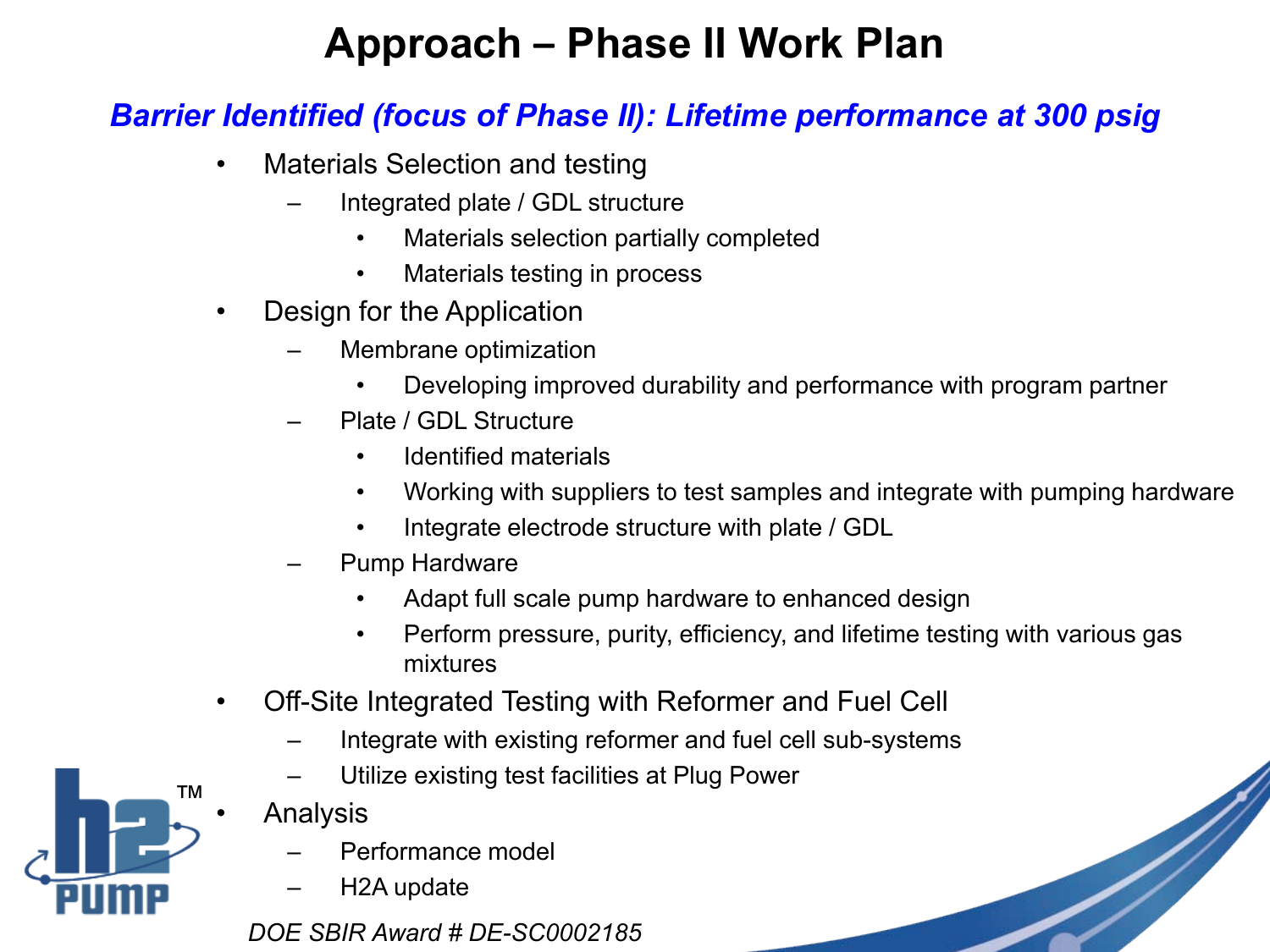## **Approach – Phase II Work Plan**

#### *Barrier Identified (focus of Phase II): Lifetime performance at 300 psig*

- Materials Selection and testing
	- Integrated plate / GDL structure
		- Materials selection partially completed
		- Materials testing in process
- Design for the Application
	- Membrane optimization
		- Developing improved durability and performance with program partner
	- Plate / GDL Structure
		- Identified materials
		- Working with suppliers to test samples and integrate with pumping hardware
		- Integrate electrode structure with plate / GDL
	- Pump Hardware
		- Adapt full scale pump hardware to enhanced design
		- Perform pressure, purity, efficiency, and lifetime testing with various gas mixtures
- Off-Site Integrated Testing with Reformer and Fuel Cell
	- Integrate with existing reformer and fuel cell sub-systems
	- Utilize existing test facilities at Plug Power
	- Analysis
		- Performance model
		- H2A update

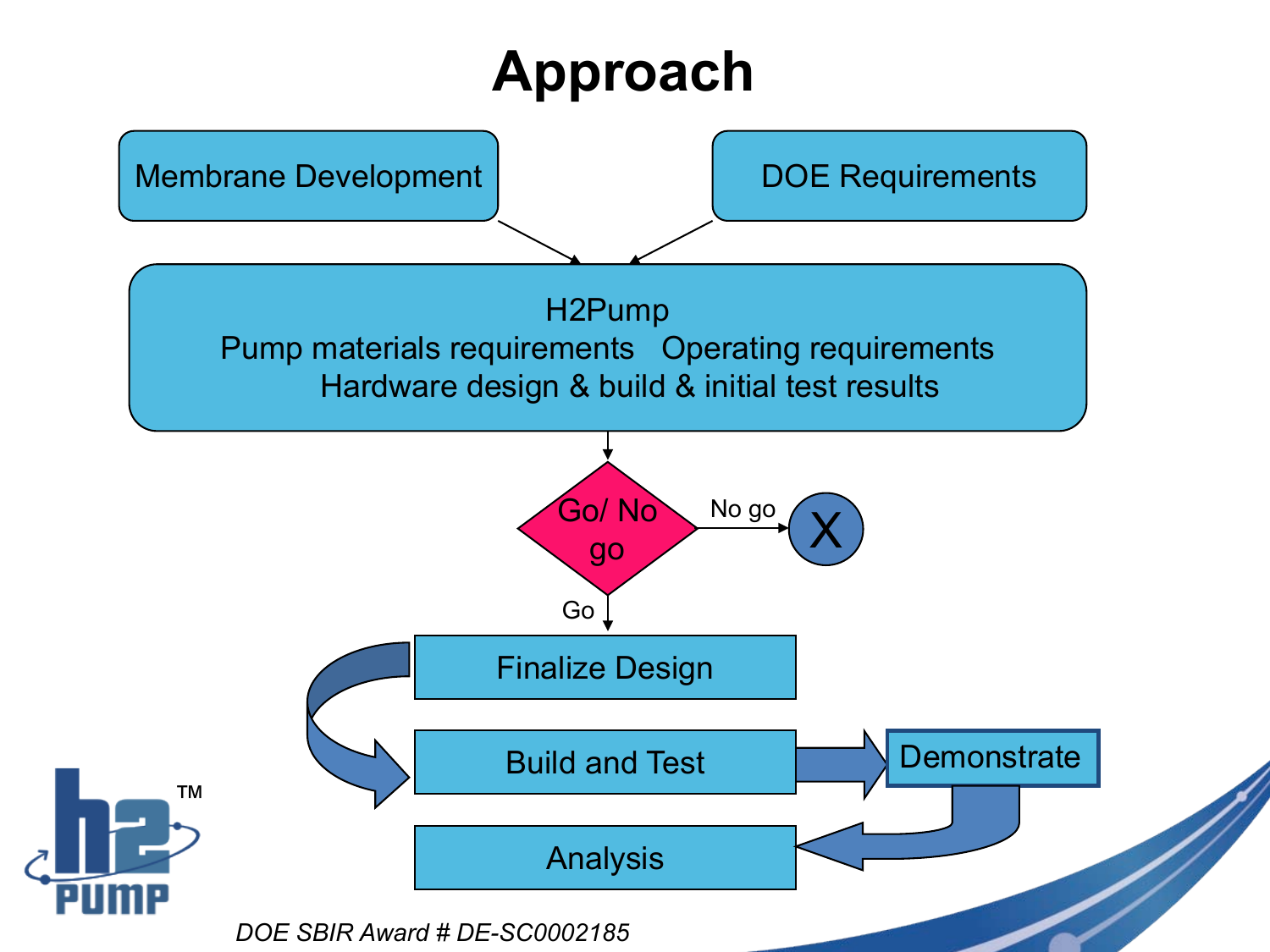# **Approach**

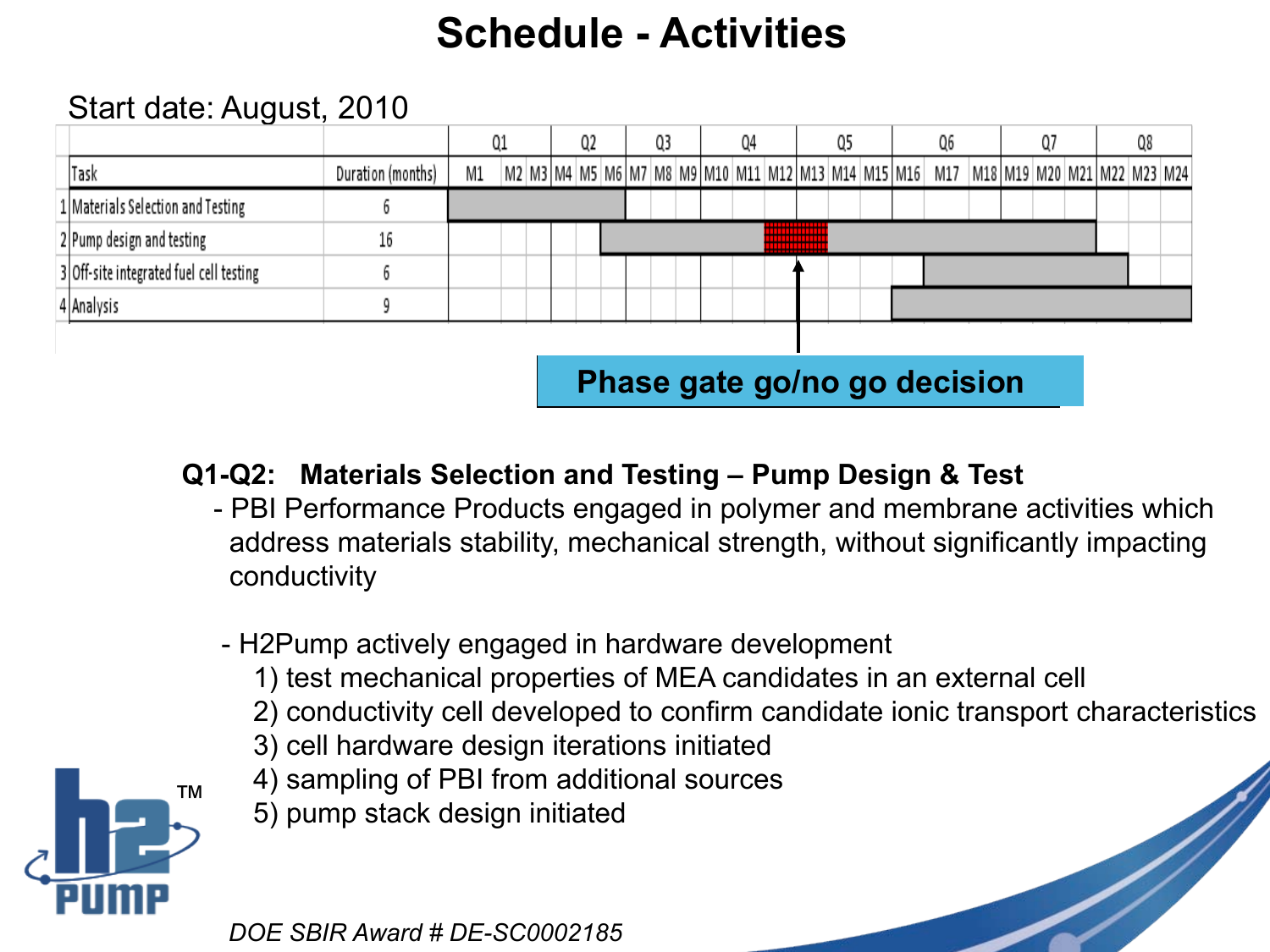## **Schedule - Activities**

#### Start date: August, 2010

|                                         |                   |    | Q1 | Q2                                                                                                                              | Q3 |  | Q4 |  | Q5 |  | Q6 |  |  | Q8 |  |
|-----------------------------------------|-------------------|----|----|---------------------------------------------------------------------------------------------------------------------------------|----|--|----|--|----|--|----|--|--|----|--|
| <b>Task</b>                             | Duration (months) | M1 |    | M2   M3   M4   M5   M6   M7   M8   M9   M10   M11   M12   M13   M14   M15   M16   M17   M18   M19   M20   M21   M22   M23   M24 |    |  |    |  |    |  |    |  |  |    |  |
| 1   Materials Selection and Testing     |                   |    |    |                                                                                                                                 |    |  |    |  |    |  |    |  |  |    |  |
| 2 Pump design and testing               | 16                |    |    |                                                                                                                                 |    |  |    |  |    |  |    |  |  |    |  |
| 3 Off-site integrated fuel cell testing |                   |    |    |                                                                                                                                 |    |  |    |  |    |  |    |  |  |    |  |
| 4 Analysis                              |                   |    |    |                                                                                                                                 |    |  |    |  |    |  |    |  |  |    |  |
|                                         |                   |    |    |                                                                                                                                 |    |  |    |  |    |  |    |  |  |    |  |

**Phase gate go/no go decision** 

- **Q1-Q2: Materials Selection and Testing – Pump Design & Test**
	- PBI Performance Products engaged in polymer and membrane activities which address materials stability, mechanical strength, without significantly impacting conductivity
	- H2Pump actively engaged in hardware development
		- 1) test mechanical properties of MEA candidates in an external cell
		- 2) conductivity cell developed to confirm candidate ionic transport characteristics
		- 3) cell hardware design iterations initiated
		- 4) sampling of PBI from additional sources
		- 5) pump stack design initiated

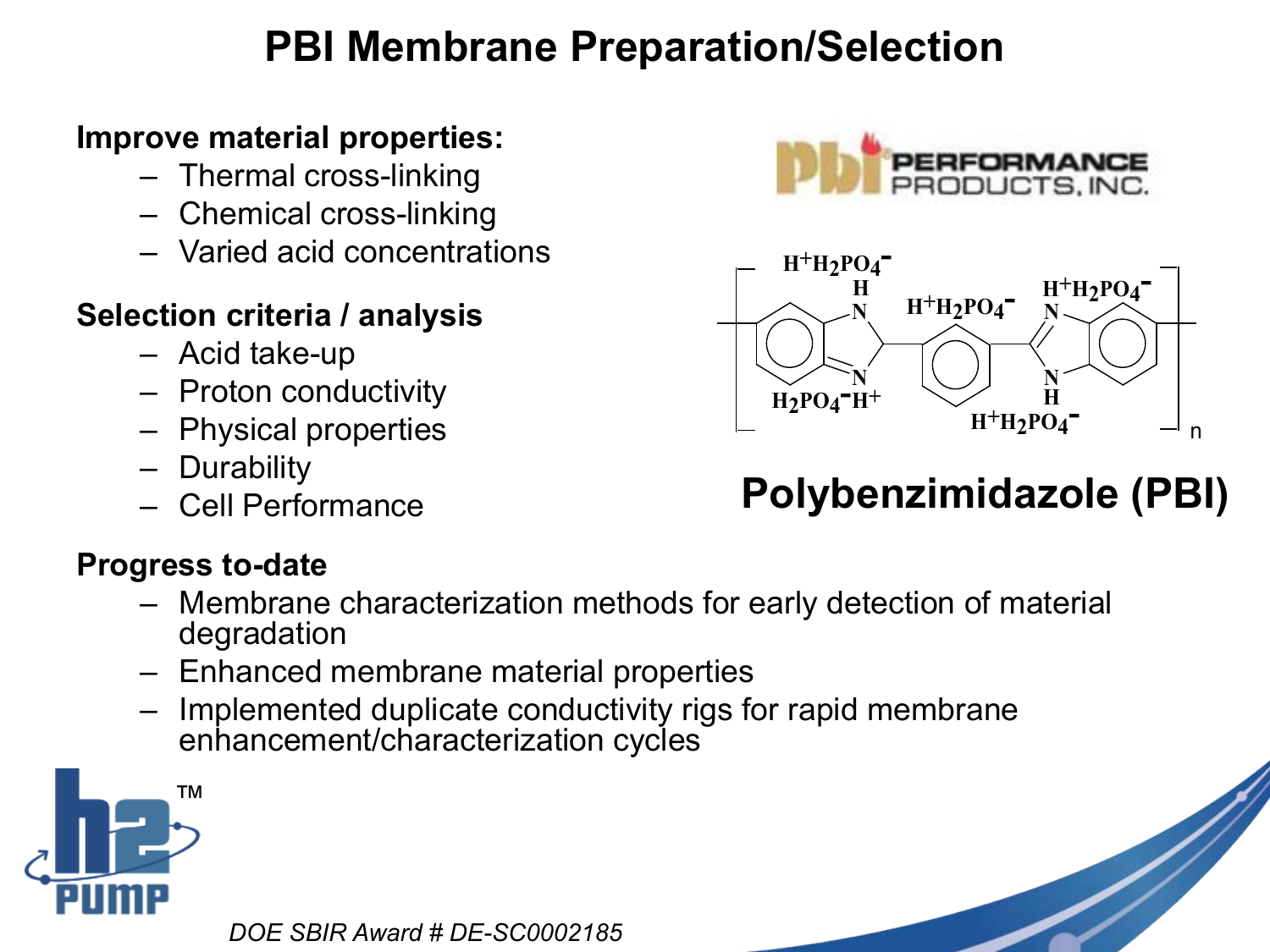## **PBI Membrane Preparation/Selection**

#### **Improve material properties:**

- Thermal cross-linking
- Chemical cross-linking
- Varied acid concentrations

### **Selection criteria / analysis**

- Acid take-up
- Proton conductivity
- Physical properties
- Durability
- Cell Performance

### **Progress to-date**

- Membrane characterization methods for early detection of material degradation
- Enhanced membrane material properties
- Implemented duplicate conductivity rigs for rapid membrane enhancement/characterization cycles







## **Polybenzimidazole (PBI)**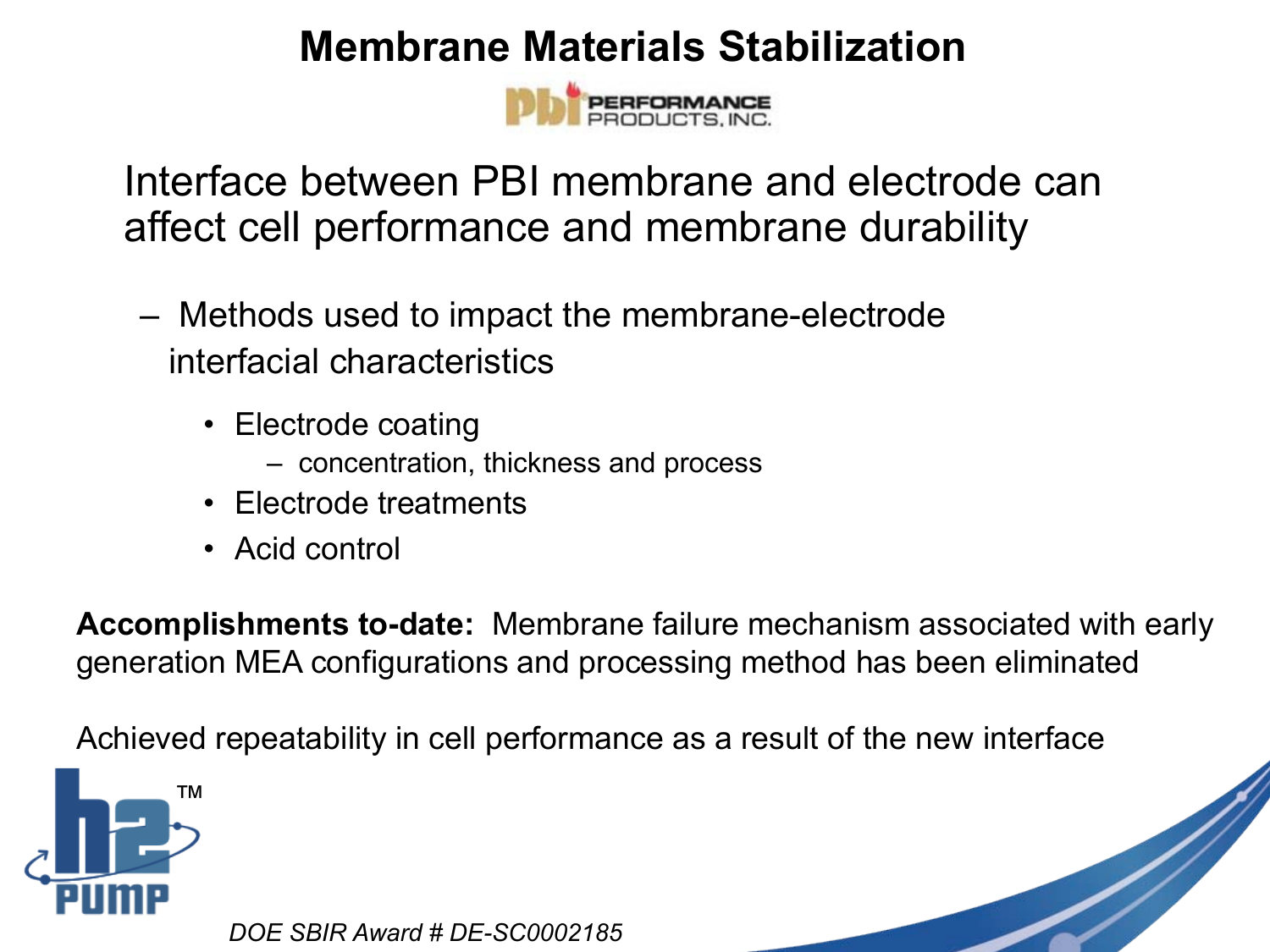### **Membrane Materials Stabilization**

Interface between PBI membrane and electrode can affect cell performance and membrane durability

- Methods used to impact the membrane-electrode interfacial characteristics
	- Electrode coating
		- concentration, thickness and process
	- Electrode treatments
	- Acid control

**Accomplishments to-date:** Membrane failure mechanism associated with early generation MEA configurations and processing method has been eliminated

Achieved repeatability in cell performance as a result of the new interface

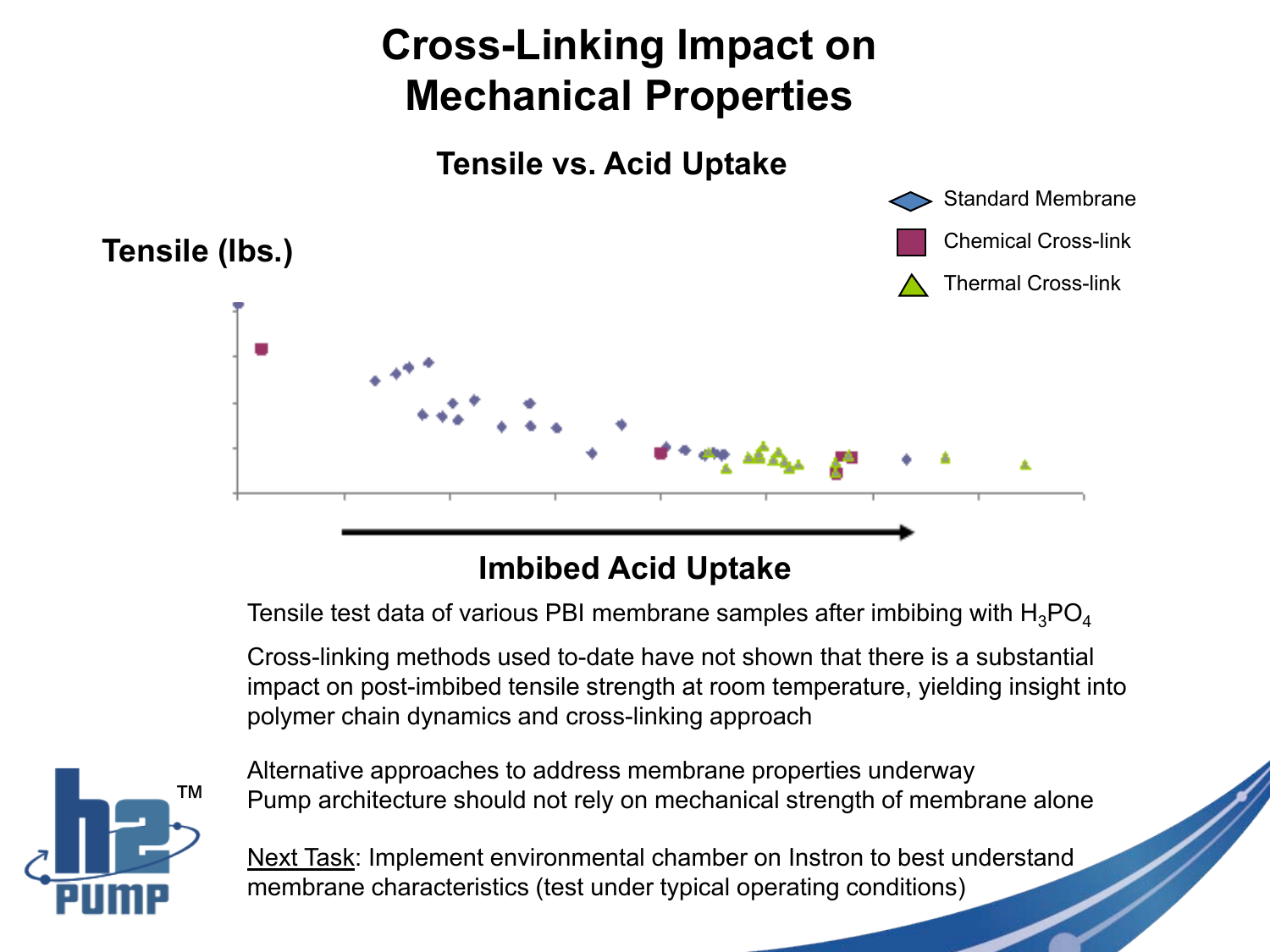## **Cross-Linking Impact on Mechanical Properties**



### Imbibed Acid Uptake **Imbibed Acid Uptake**

Tensile test data of various PBI membrane samples after imbibing with  $H_3PO_4$ 

Cross-linking methods used to-date have not shown that there is a substantial impact on post-imbibed tensile strength at room temperature, yielding insight into polymer chain dynamics and cross-linking approach



Alternative approaches to address membrane properties underway Pump architecture should not rely on mechanical strength of membrane alone

Next Task: Implement environmental chamber on Instron to best understand membrane characteristics (test under typical operating conditions)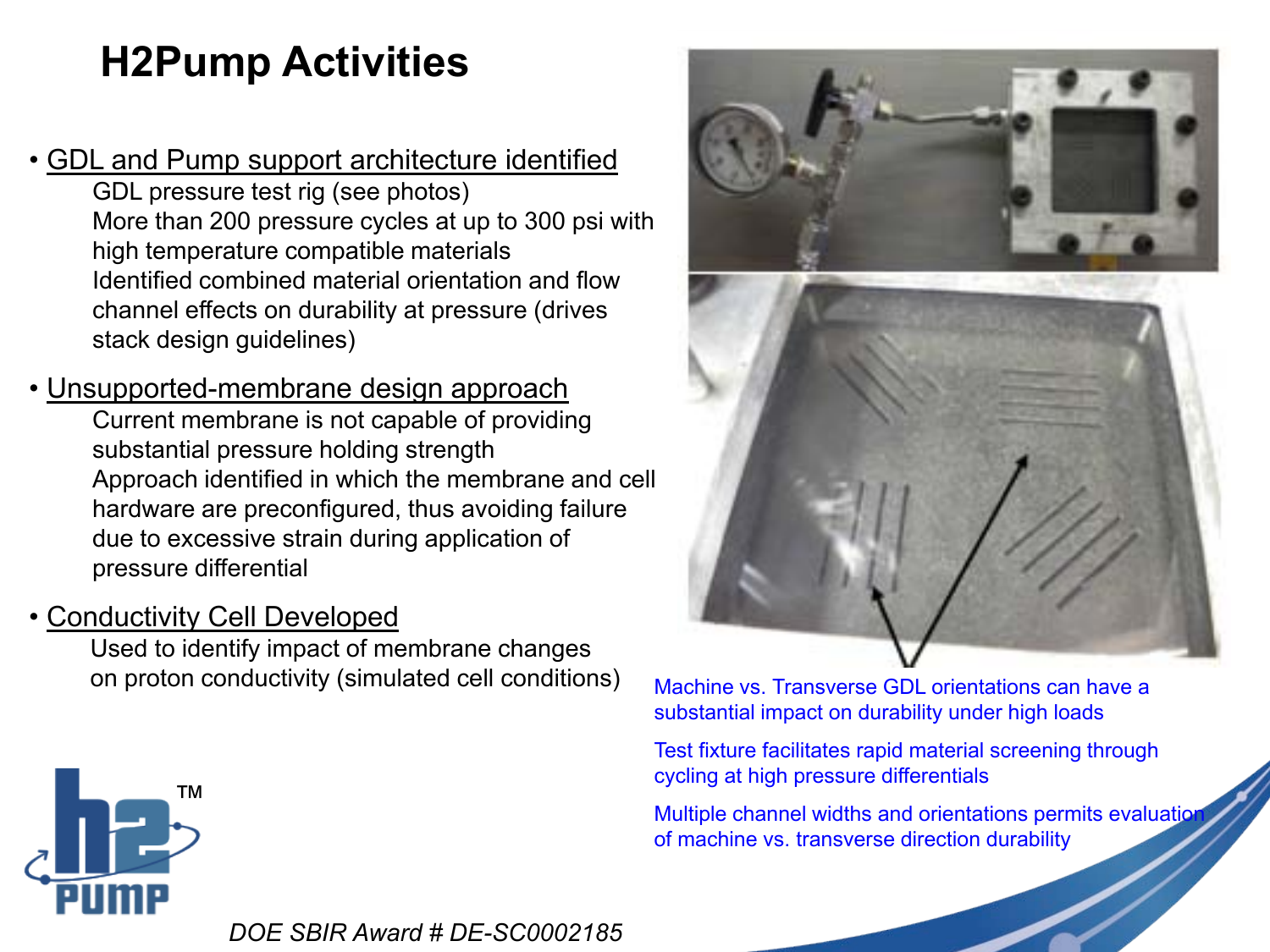## **H2Pump Activities**

- GDL and Pump support architecture identified GDL pressure test rig (see photos) More than 200 pressure cycles at up to 300 psi with high temperature compatible materials Identified combined material orientation and flow channel effects on durability at pressure (drives stack design guidelines)
- Unsupported-membrane design approach Current membrane is not capable of providing substantial pressure holding strength Approach identified in which the membrane and cell hardware are preconfigured, thus avoiding failure due to excessive strain during application of pressure differential
- Conductivity Cell Developed

Used to identify impact of membrane changes on proton conductivity (simulated cell conditions) Machine vs. Transverse GDL orientations can have a



substantial impact on durability under high loads

Test fixture facilitates rapid material screening through cycling at high pressure differentials

Multiple channel widths and orientations permits evaluation of machine vs. transverse direction durability

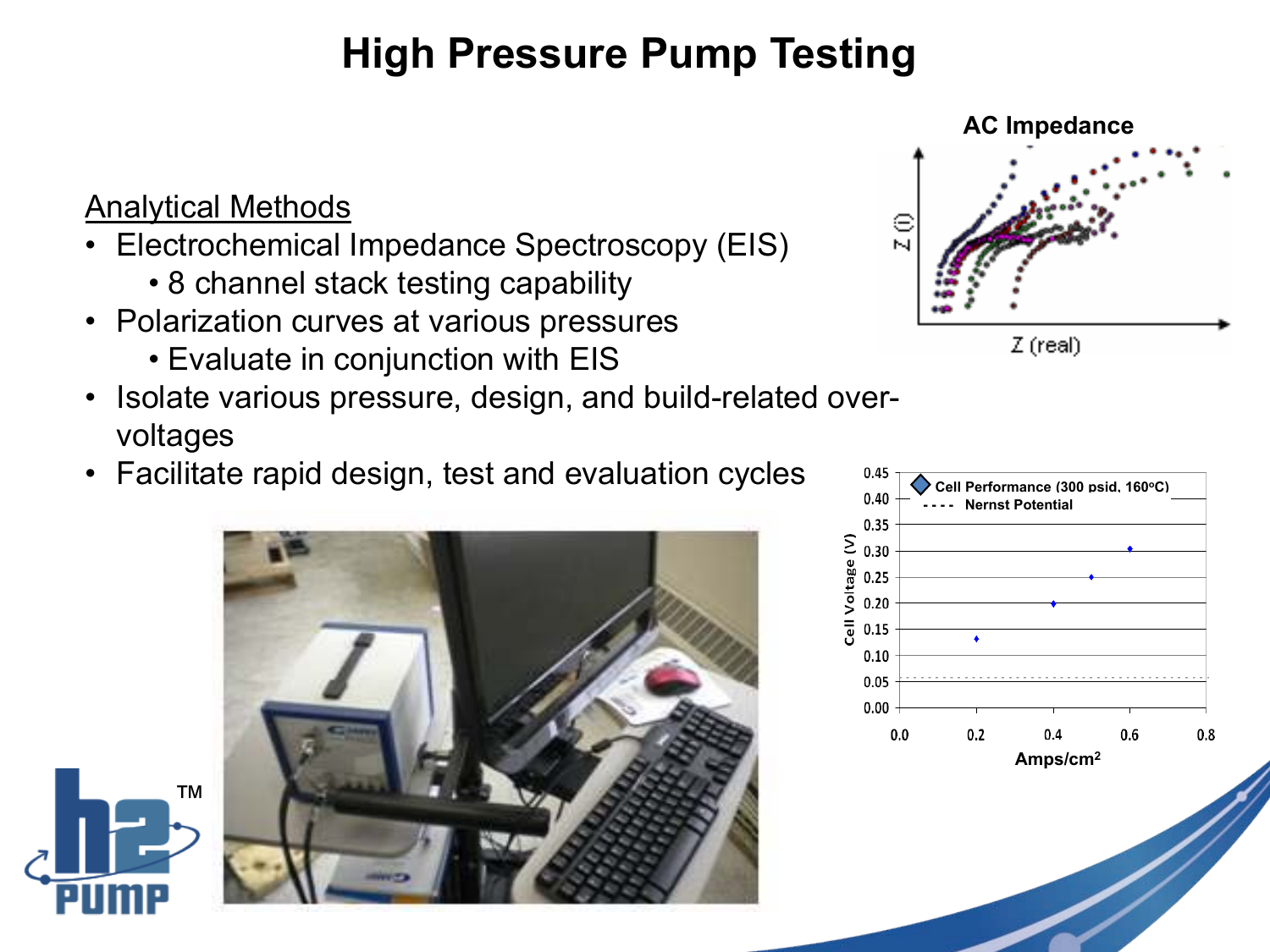## **High Pressure Pump Testing**

#### Analytical Methods

™

- Electrochemical Impedance Spectroscopy (EIS)
	- 8 channel stack testing capability
- Polarization curves at various pressures
	- Evaluate in conjunction with EIS
- Isolate various pressure, design, and build-related overvoltages
- Facilitate rapid design, test and evaluation cycles



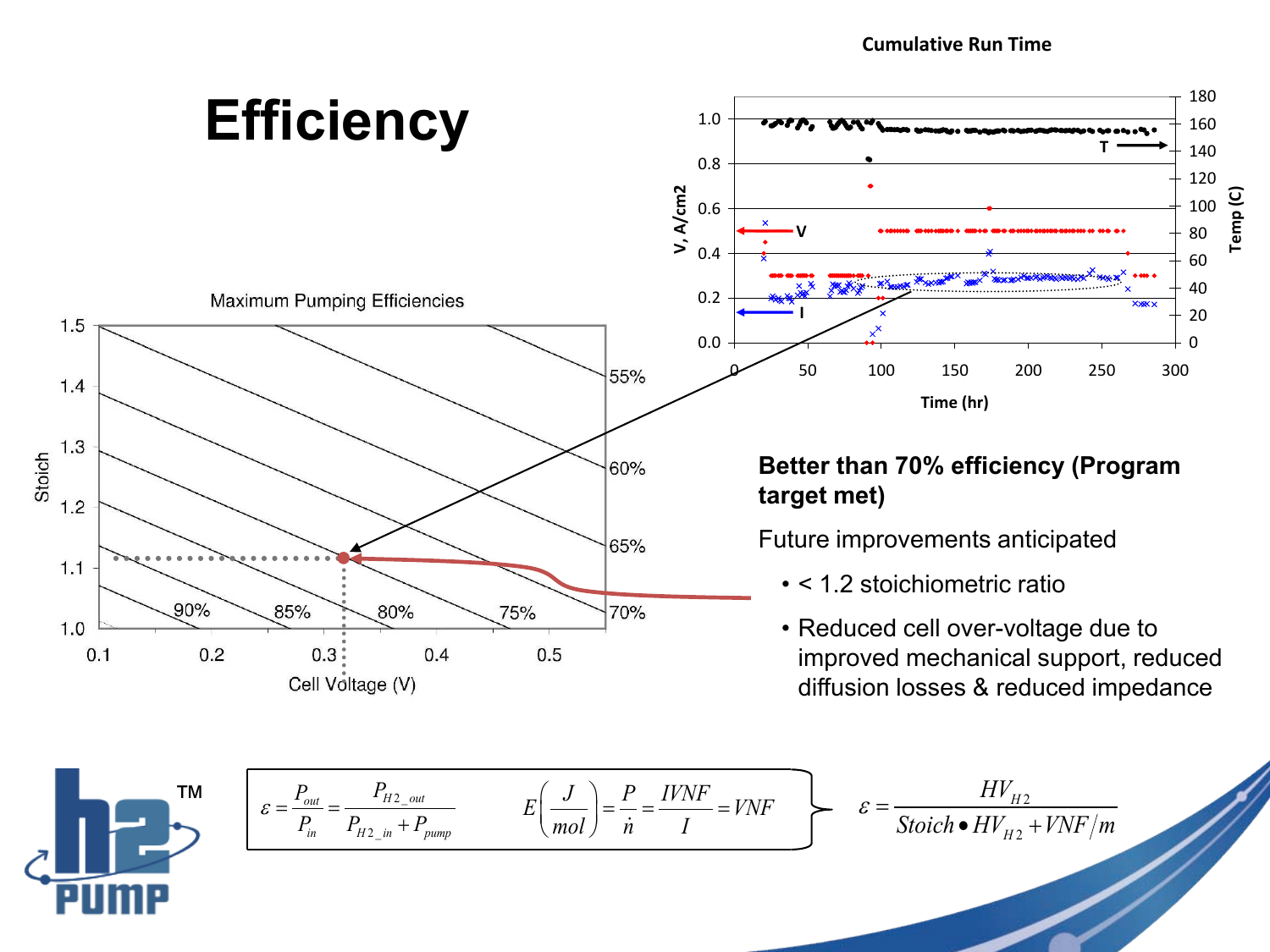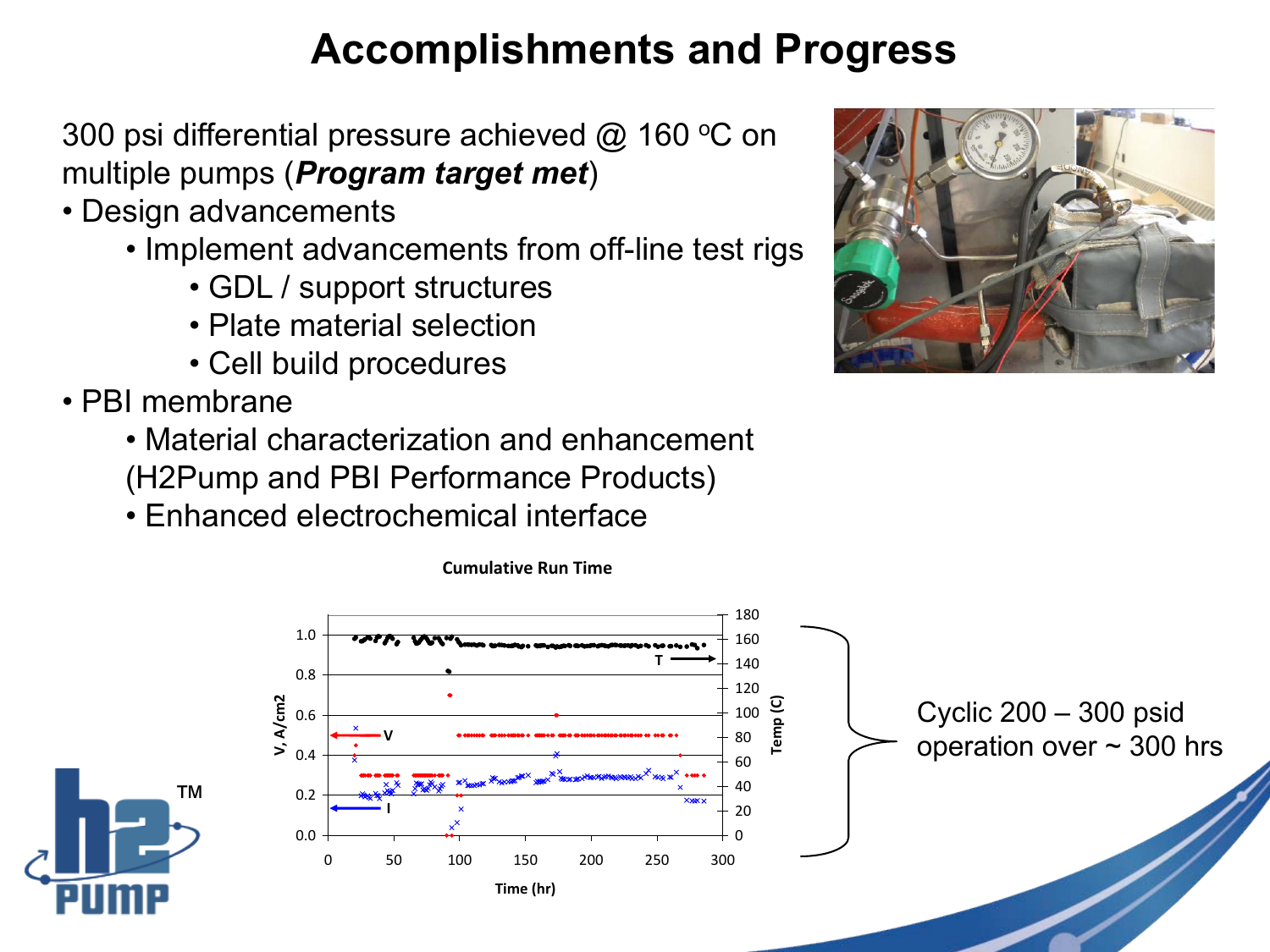## **Accomplishments and Progress**

300 psi differential pressure achieved  $@$  160 °C on multiple pumps (*Program target met*)

- Design advancements
	- Implement advancements from off-line test rigs
		- GDL / support structures
		- Plate material selection
		- Cell build procedures
- PBI membrane
	- Material characterization and enhancement (H2Pump and PBI Performance Products)

**Cumulative Run Time**

• Enhanced electrochemical interface



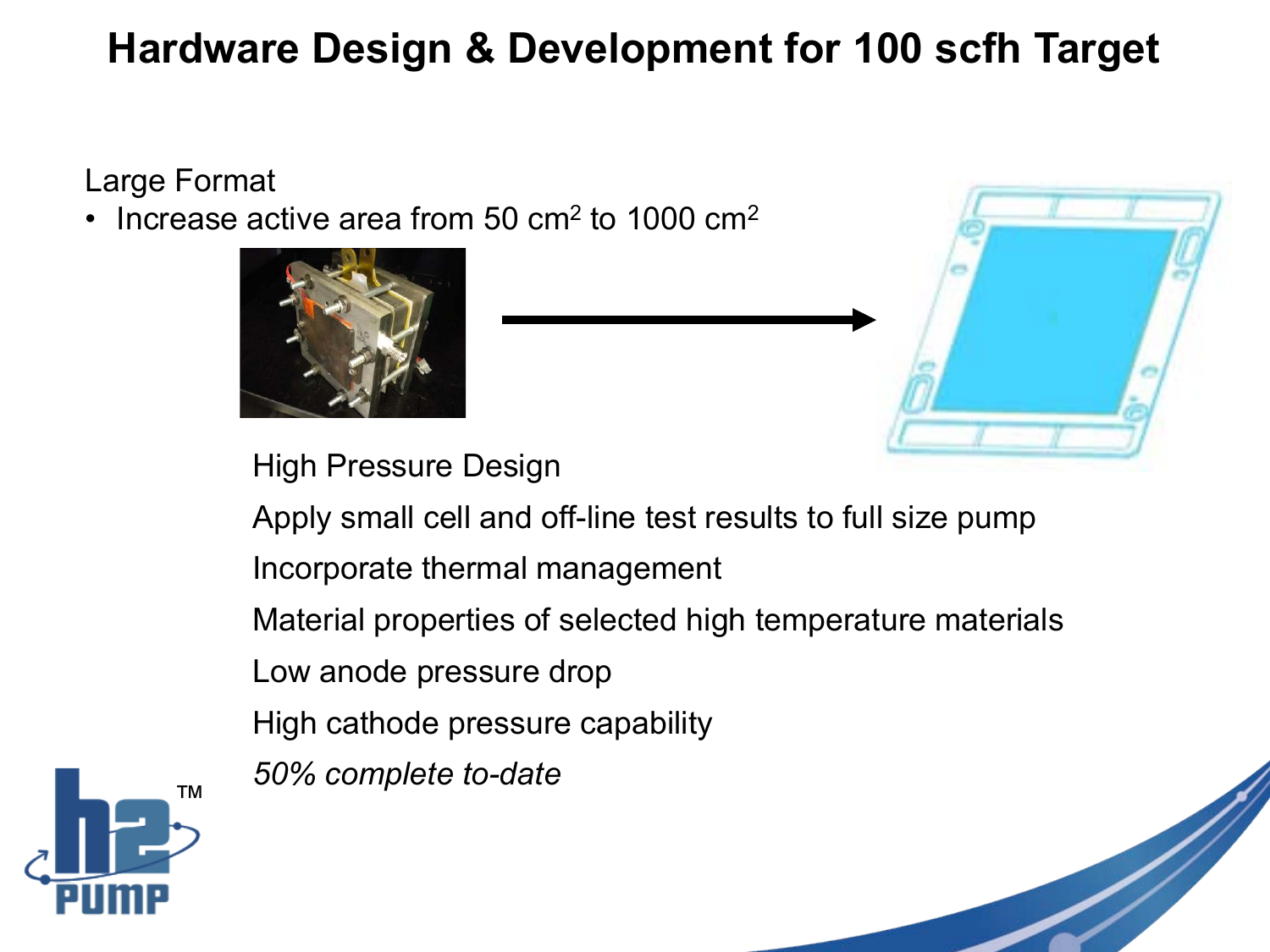## **Hardware Design & Development for 100 scfh Target**

Large Format

Increase active area from 50  $\text{cm}^2$  to 1000  $\text{cm}^2$ 





High Pressure Design

Apply small cell and off-line test results to full size pump

Incorporate thermal management

Material properties of selected high temperature materials

Low anode pressure drop

High cathode pressure capability

*50% complete to-date*



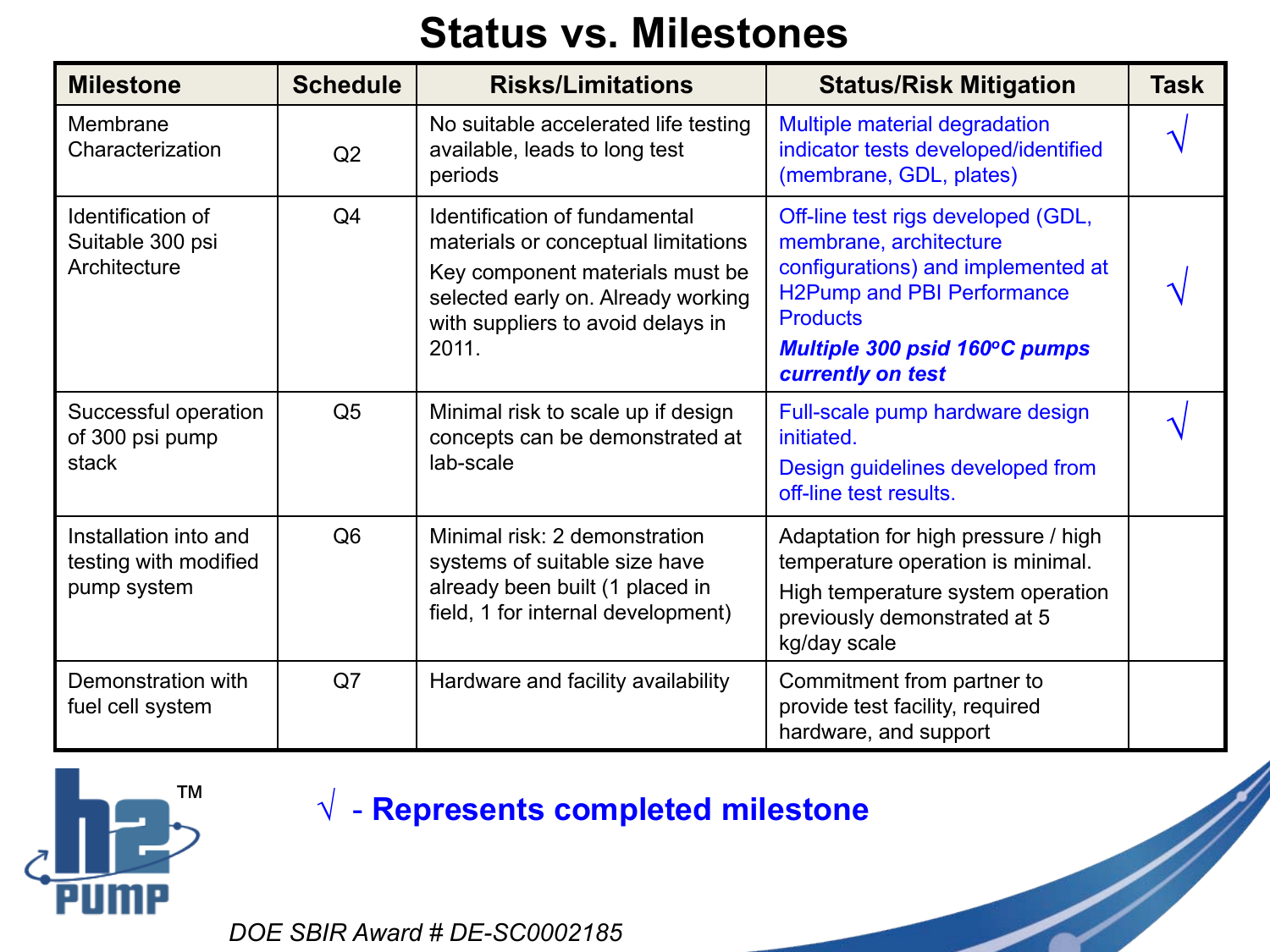### **Status vs. Milestones**

| <b>Milestone</b>                                              | <b>Schedule</b> | <b>Risks/Limitations</b>                                                                                                                                                                    | <b>Status/Risk Mitigation</b>                                                                                                                                                                                    | <b>Task</b> |
|---------------------------------------------------------------|-----------------|---------------------------------------------------------------------------------------------------------------------------------------------------------------------------------------------|------------------------------------------------------------------------------------------------------------------------------------------------------------------------------------------------------------------|-------------|
| Membrane<br>Characterization                                  | Q2              | No suitable accelerated life testing<br>available, leads to long test<br>periods                                                                                                            | Multiple material degradation<br>indicator tests developed/identified<br>(membrane, GDL, plates)                                                                                                                 |             |
| Identification of<br>Suitable 300 psi<br>Architecture         | Q <sub>4</sub>  | Identification of fundamental<br>materials or conceptual limitations<br>Key component materials must be<br>selected early on. Already working<br>with suppliers to avoid delays in<br>2011. | Off-line test rigs developed (GDL,<br>membrane, architecture<br>configurations) and implemented at<br><b>H2Pump and PBI Performance</b><br><b>Products</b><br>Multiple 300 psid 160°C pumps<br>currently on test |             |
| Successful operation<br>of 300 psi pump<br>stack              | Q <sub>5</sub>  | Minimal risk to scale up if design<br>concepts can be demonstrated at<br>lab-scale                                                                                                          | Full-scale pump hardware design<br>initiated.<br>Design guidelines developed from<br>off-line test results.                                                                                                      |             |
| Installation into and<br>testing with modified<br>pump system | Q <sub>6</sub>  | Minimal risk: 2 demonstration<br>systems of suitable size have<br>already been built (1 placed in<br>field, 1 for internal development)                                                     | Adaptation for high pressure / high<br>temperature operation is minimal.<br>High temperature system operation<br>previously demonstrated at 5<br>kg/day scale                                                    |             |
| Demonstration with<br>fuel cell system                        | Q7              | Hardware and facility availability                                                                                                                                                          | Commitment from partner to<br>provide test facility, required<br>hardware, and support                                                                                                                           |             |



### √ - **Represents completed milestone**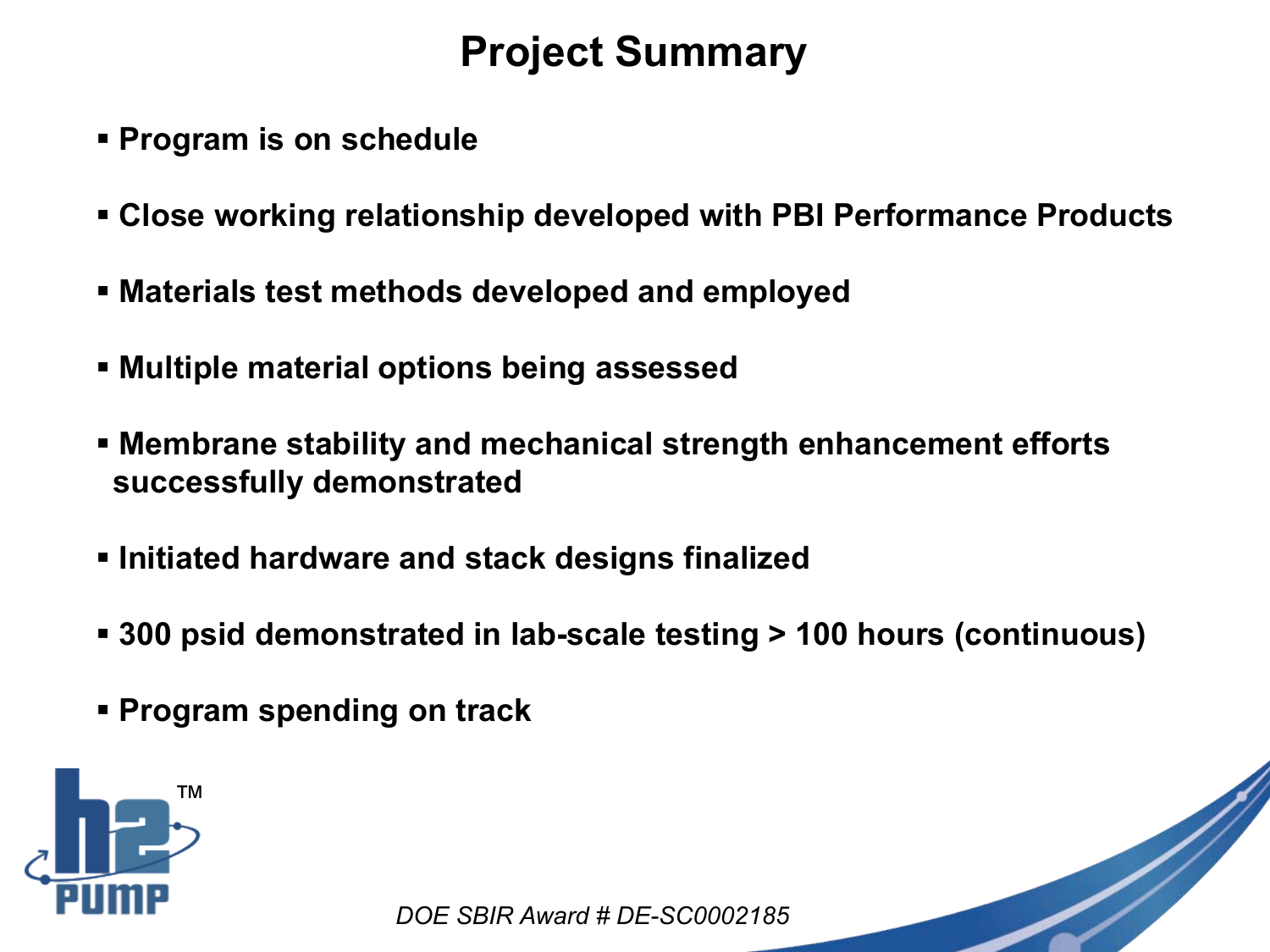## **Project Summary**

- **Program is on schedule**
- **Close working relationship developed with PBI Performance Products**
- **Materials test methods developed and employed**
- **Multiple material options being assessed**
- **Membrane stability and mechanical strength enhancement efforts successfully demonstrated**
- **Initiated hardware and stack designs finalized**
- **300 psid demonstrated in lab-scale testing > 100 hours (continuous)**
- **Program spending on track**

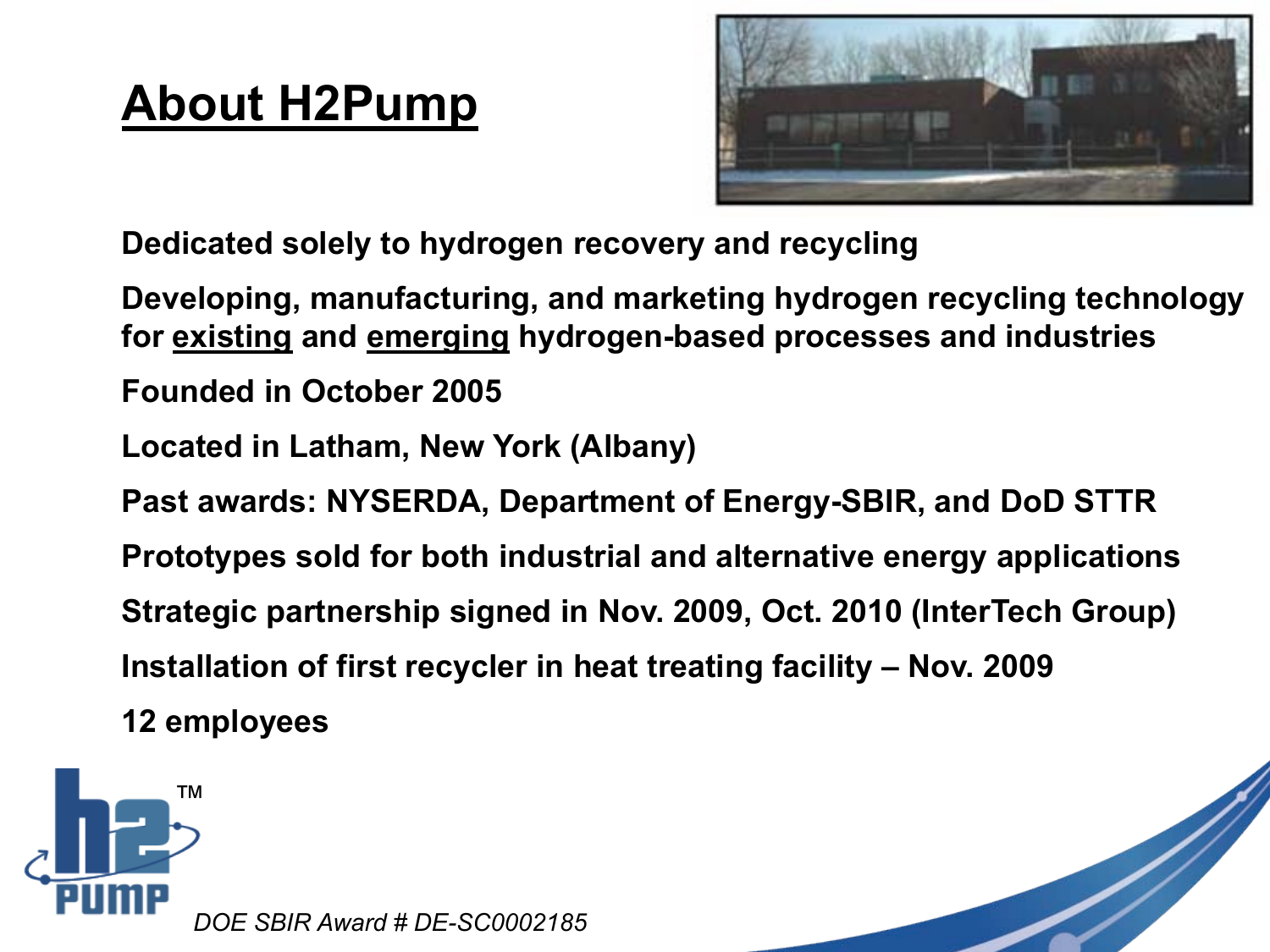## **About H2Pump**



**Dedicated solely to hydrogen recovery and recycling**

**Developing, manufacturing, and marketing hydrogen recycling technology for existing and emerging hydrogen-based processes and industries**

**Founded in October 2005** 

**Located in Latham, New York (Albany)**

**Past awards: NYSERDA, Department of Energy-SBIR, and DoD STTR**

**Prototypes sold for both industrial and alternative energy applications**

**Strategic partnership signed in Nov. 2009, Oct. 2010 (InterTech Group)**

**Installation of first recycler in heat treating facility – Nov. 2009**

**12 employees**